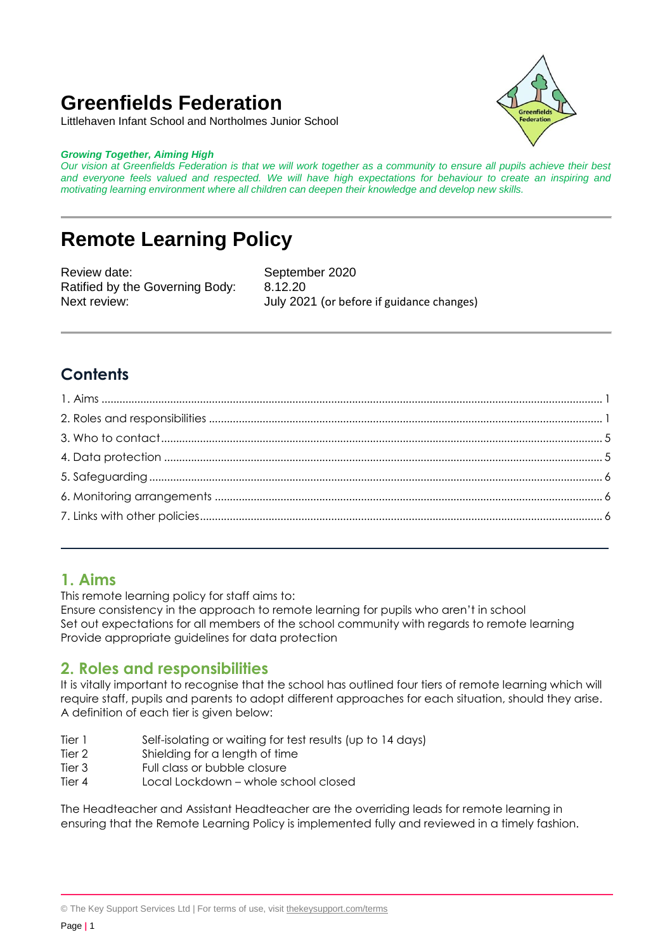# **Greenfields Federation**

Littlehaven Infant School and Northolmes Junior School

#### *Growing Together, Aiming High*

*Our vision at Greenfields Federation is that we will work together as a community to ensure all pupils achieve their best and everyone feels valued and respected. We will have high expectations for behaviour to create an inspiring and motivating learning environment where all children can deepen their knowledge and develop new skills.*

# **Remote Learning Policy**

Review date: September 2020 Ratified by the Governing Body: 8.12.20

Next review: July 2021 (or before if guidance changes)

# **Contents**

# <span id="page-0-0"></span>**1. Aims**

This remote learning policy for staff aims to:

Ensure consistency in the approach to remote learning for pupils who aren't in school Set out expectations for all members of the school community with regards to remote learning Provide appropriate guidelines for data protection

# <span id="page-0-1"></span>**2. Roles and responsibilities**

It is vitally important to recognise that the school has outlined four tiers of remote learning which will require staff, pupils and parents to adopt different approaches for each situation, should they arise. A definition of each tier is given below:

- Tier 1 Self-isolating or waiting for test results (up to 14 days)
- Tier 2 Shielding for a length of time
- Tier 3 Full class or bubble closure
- Tier 4 Local Lockdown whole school closed

The Headteacher and Assistant Headteacher are the overriding leads for remote learning in ensuring that the Remote Learning Policy is implemented fully and reviewed in a timely fashion.

<sup>©</sup> The Key Support Services Ltd | For terms of use, visit [thekeysupport.com/terms](https://thekeysupport.com/terms-of-use)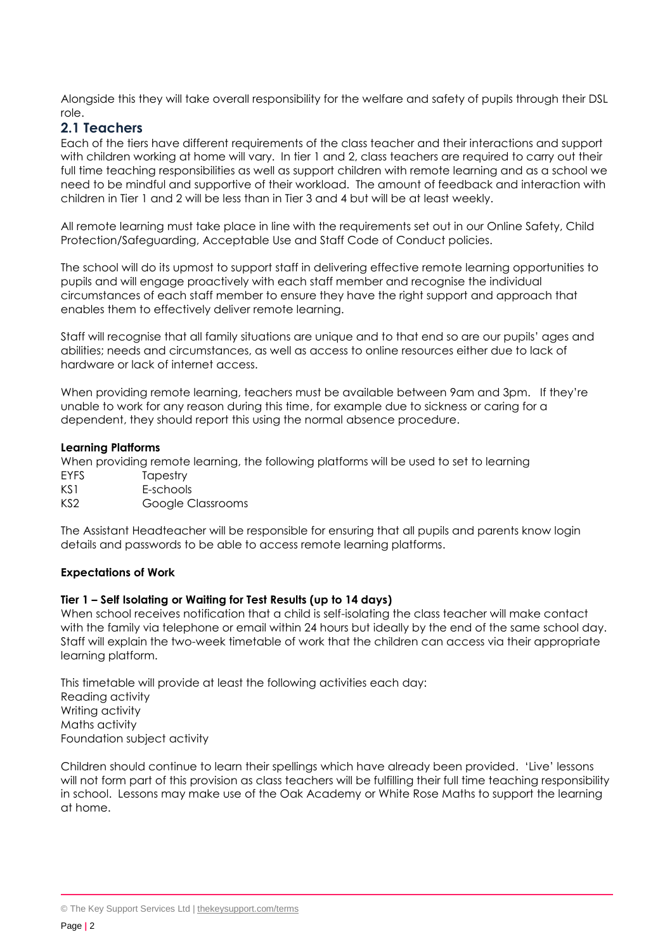Alongside this they will take overall responsibility for the welfare and safety of pupils through their DSL role.

## **2.1 Teachers**

Each of the tiers have different requirements of the class teacher and their interactions and support with children working at home will vary. In tier 1 and 2, class teachers are required to carry out their full time teaching responsibilities as well as support children with remote learning and as a school we need to be mindful and supportive of their workload. The amount of feedback and interaction with children in Tier 1 and 2 will be less than in Tier 3 and 4 but will be at least weekly.

All remote learning must take place in line with the requirements set out in our Online Safety, Child Protection/Safeguarding, Acceptable Use and Staff Code of Conduct policies.

The school will do its upmost to support staff in delivering effective remote learning opportunities to pupils and will engage proactively with each staff member and recognise the individual circumstances of each staff member to ensure they have the right support and approach that enables them to effectively deliver remote learning.

Staff will recognise that all family situations are unique and to that end so are our pupils' ages and abilities; needs and circumstances, as well as access to online resources either due to lack of hardware or lack of internet access.

When providing remote learning, teachers must be available between 9am and 3pm. If they're unable to work for any reason during this time, for example due to sickness or caring for a dependent, they should report this using the normal absence procedure.

#### **Learning Platforms**

When providing remote learning, the following platforms will be used to set to learning

- EYFS Tapestry
- KS1 E-schools
- KS2 Google Classrooms

The Assistant Headteacher will be responsible for ensuring that all pupils and parents know login details and passwords to be able to access remote learning platforms.

#### **Expectations of Work**

#### **Tier 1 – Self Isolating or Waiting for Test Results (up to 14 days)**

When school receives notification that a child is self-isolating the class teacher will make contact with the family via telephone or email within 24 hours but ideally by the end of the same school day. Staff will explain the two-week timetable of work that the children can access via their appropriate learning platform.

This timetable will provide at least the following activities each day: Reading activity Writing activity Maths activity Foundation subject activity

Children should continue to learn their spellings which have already been provided. 'Live' lessons will not form part of this provision as class teachers will be fulfilling their full time teaching responsibility in school. Lessons may make use of the Oak Academy or White Rose Maths to support the learning at home.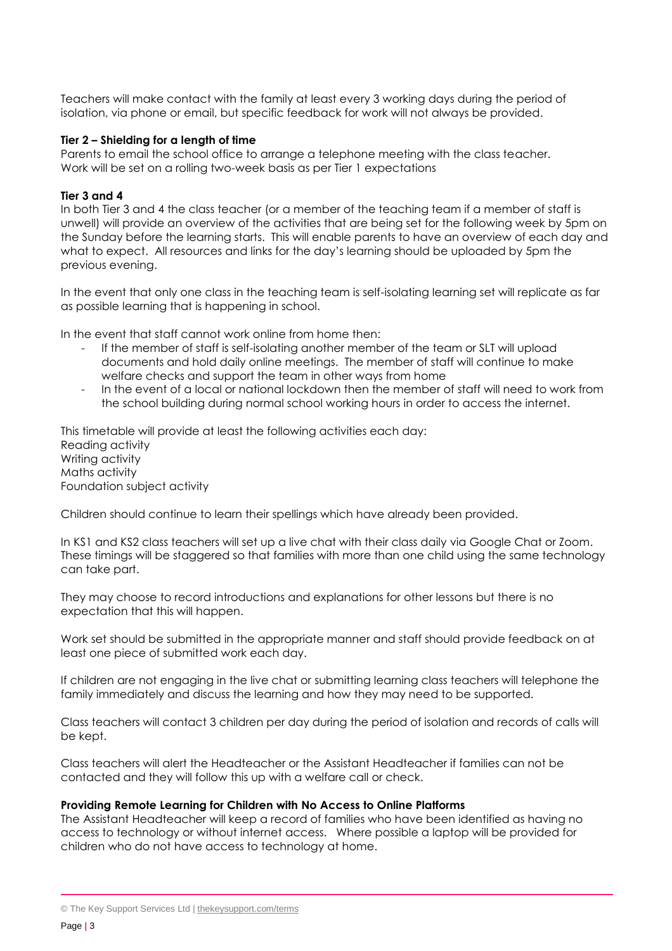Teachers will make contact with the family at least every 3 working days during the period of isolation, via phone or email, but specific feedback for work will not always be provided.

#### **Tier 2 – Shielding for a length of time**

Parents to email the school office to arrange a telephone meeting with the class teacher. Work will be set on a rolling two-week basis as per Tier 1 expectations

#### **Tier 3 and 4**

In both Tier 3 and 4 the class teacher (or a member of the teaching team if a member of staff is unwell) will provide an overview of the activities that are being set for the following week by 5pm on the Sunday before the learning starts. This will enable parents to have an overview of each day and what to expect. All resources and links for the day's learning should be uploaded by 5pm the previous evening.

In the event that only one class in the teaching team is self-isolating learning set will replicate as far as possible learning that is happening in school.

In the event that staff cannot work online from home then:

- If the member of staff is self-isolating another member of the team or SLT will upload documents and hold daily online meetings. The member of staff will continue to make welfare checks and support the team in other ways from home
- In the event of a local or national lockdown then the member of staff will need to work from the school building during normal school working hours in order to access the internet.

This timetable will provide at least the following activities each day: Reading activity Writing activity Maths activity Foundation subject activity

Children should continue to learn their spellings which have already been provided.

In KS1 and KS2 class teachers will set up a live chat with their class daily via Google Chat or Zoom. These timings will be staggered so that families with more than one child using the same technology can take part.

They may choose to record introductions and explanations for other lessons but there is no expectation that this will happen.

Work set should be submitted in the appropriate manner and staff should provide feedback on at least one piece of submitted work each day.

If children are not engaging in the live chat or submitting learning class teachers will telephone the family immediately and discuss the learning and how they may need to be supported.

Class teachers will contact 3 children per day during the period of isolation and records of calls will be kept.

Class teachers will alert the Headteacher or the Assistant Headteacher if families can not be contacted and they will follow this up with a welfare call or check.

#### **Providing Remote Learning for Children with No Access to Online Platforms**

The Assistant Headteacher will keep a record of families who have been identified as having no access to technology or without internet access. Where possible a laptop will be provided for children who do not have access to technology at home.

<sup>©</sup> The Key Support Services Ltd | [thekeysupport.com/terms](https://thekeysupport.com/terms-of-use)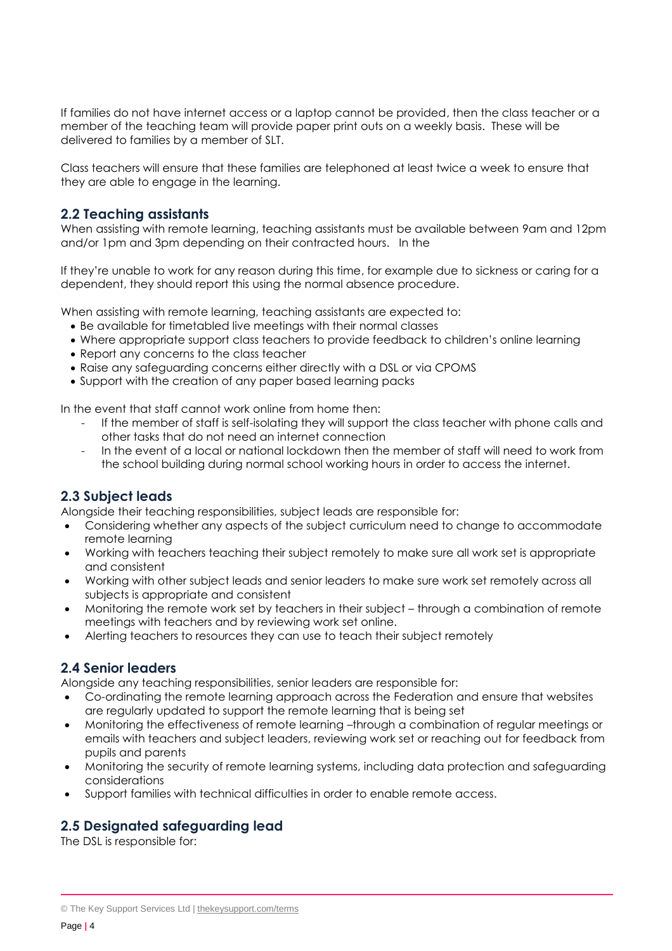If families do not have internet access or a laptop cannot be provided, then the class teacher or a member of the teaching team will provide paper print outs on a weekly basis. These will be delivered to families by a member of SLT.

Class teachers will ensure that these families are telephoned at least twice a week to ensure that they are able to engage in the learning.

#### **2.2 Teaching assistants**

When assisting with remote learning, teaching assistants must be available between 9am and 12pm and/or 1pm and 3pm depending on their contracted hours. In the

If they're unable to work for any reason during this time, for example due to sickness or caring for a dependent, they should report this using the normal absence procedure.

When assisting with remote learning, teaching assistants are expected to:

- Be available for timetabled live meetings with their normal classes
- Where appropriate support class teachers to provide feedback to children's online learning
- Report any concerns to the class teacher
- Raise any safeguarding concerns either directly with a DSL or via CPOMS
- Support with the creation of any paper based learning packs

In the event that staff cannot work online from home then:

- If the member of staff is self-isolating they will support the class teacher with phone calls and other tasks that do not need an internet connection
- In the event of a local or national lockdown then the member of staff will need to work from the school building during normal school working hours in order to access the internet.

### **2.3 Subject leads**

Alongside their teaching responsibilities, subject leads are responsible for:

- Considering whether any aspects of the subject curriculum need to change to accommodate remote learning
- Working with teachers teaching their subject remotely to make sure all work set is appropriate and consistent
- Working with other subject leads and senior leaders to make sure work set remotely across all subjects is appropriate and consistent
- Monitoring the remote work set by teachers in their subject through a combination of remote meetings with teachers and by reviewing work set online.
- Alerting teachers to resources they can use to teach their subject remotely

### **2.4 Senior leaders**

Alongside any teaching responsibilities, senior leaders are responsible for:

- Co-ordinating the remote learning approach across the Federation and ensure that websites are regularly updated to support the remote learning that is being set
- Monitoring the effectiveness of remote learning –through a combination of regular meetings or emails with teachers and subject leaders, reviewing work set or reaching out for feedback from pupils and parents
- Monitoring the security of remote learning systems, including data protection and safeguarding considerations
- Support families with technical difficulties in order to enable remote access.

## **2.5 Designated safeguarding lead**

The DSL is responsible for:

<sup>©</sup> The Key Support Services Ltd | [thekeysupport.com/terms](https://thekeysupport.com/terms-of-use)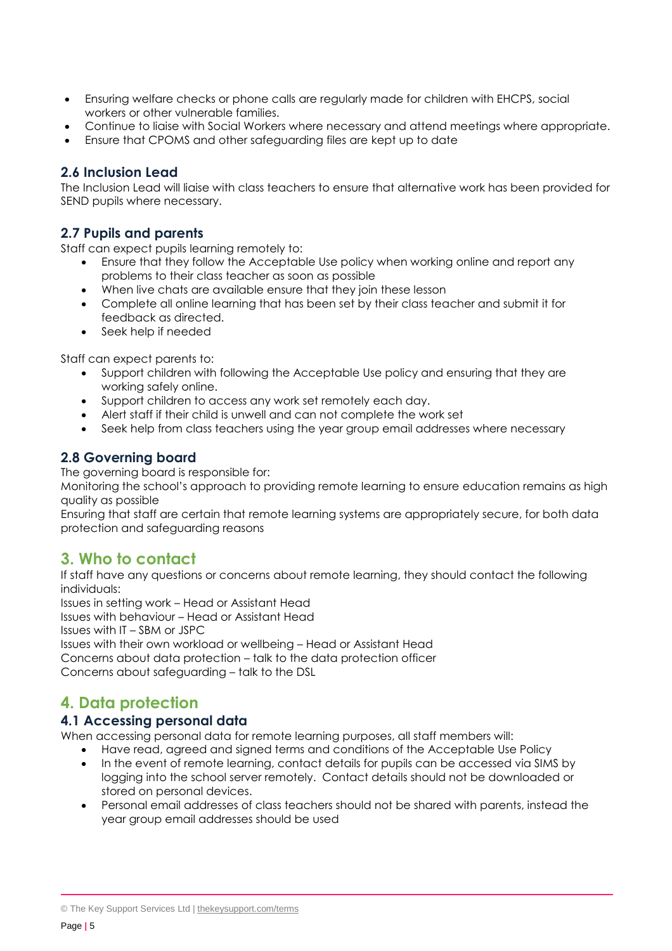- Ensuring welfare checks or phone calls are regularly made for children with EHCPS, social workers or other vulnerable families.
- Continue to liaise with Social Workers where necessary and attend meetings where appropriate.
- Ensure that CPOMS and other safeguarding files are kept up to date

### **2.6 Inclusion Lead**

The Inclusion Lead will liaise with class teachers to ensure that alternative work has been provided for SEND pupils where necessary.

### **2.7 Pupils and parents**

Staff can expect pupils learning remotely to:

- Ensure that they follow the Acceptable Use policy when working online and report any problems to their class teacher as soon as possible
- When live chats are available ensure that they join these lesson
- Complete all online learning that has been set by their class teacher and submit it for feedback as directed.
- Seek help if needed

Staff can expect parents to:

- Support children with following the Acceptable Use policy and ensuring that they are working safely online.
- Support children to access any work set remotely each day.
- Alert staff if their child is unwell and can not complete the work set
- Seek help from class teachers using the year group email addresses where necessary

#### **2.8 Governing board**

The governing board is responsible for:

Monitoring the school's approach to providing remote learning to ensure education remains as high quality as possible

Ensuring that staff are certain that remote learning systems are appropriately secure, for both data protection and safeguarding reasons

# <span id="page-4-0"></span>**3. Who to contact**

If staff have any questions or concerns about remote learning, they should contact the following individuals:

Issues in setting work – Head or Assistant Head

Issues with behaviour – Head or Assistant Head

Issues with IT – SBM or JSPC

Issues with their own workload or wellbeing – Head or Assistant Head Concerns about data protection – talk to the data protection officer Concerns about safeguarding – talk to the DSL

# <span id="page-4-1"></span>**4. Data protection**

### **4.1 Accessing personal data**

When accessing personal data for remote learning purposes, all staff members will:

- Have read, agreed and signed terms and conditions of the Acceptable Use Policy
- In the event of remote learning, contact details for pupils can be accessed via SIMS by logging into the school server remotely. Contact details should not be downloaded or stored on personal devices.
- Personal email addresses of class teachers should not be shared with parents, instead the year group email addresses should be used